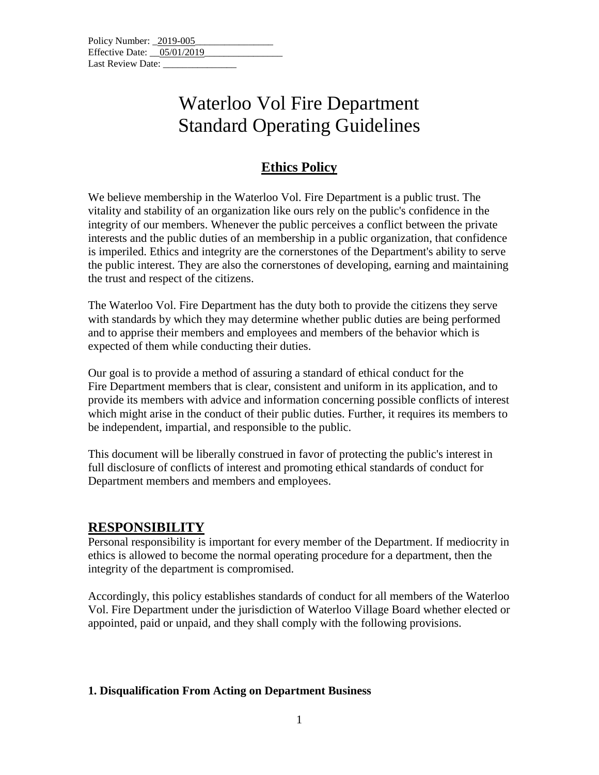| Policy Number: 2019-005      |  |
|------------------------------|--|
| Effective Date: $05/01/2019$ |  |
| Last Review Date:            |  |

### **Ethics Policy**

We believe membership in the Waterloo Vol. Fire Department is a public trust. The vitality and stability of an organization like ours rely on the public's confidence in the integrity of our members. Whenever the public perceives a conflict between the private interests and the public duties of an membership in a public organization, that confidence is imperiled. Ethics and integrity are the cornerstones of the Department's ability to serve the public interest. They are also the cornerstones of developing, earning and maintaining the trust and respect of the citizens.

The Waterloo Vol. Fire Department has the duty both to provide the citizens they serve with standards by which they may determine whether public duties are being performed and to apprise their members and employees and members of the behavior which is expected of them while conducting their duties.

Our goal is to provide a method of assuring a standard of ethical conduct for the Fire Department members that is clear, consistent and uniform in its application, and to provide its members with advice and information concerning possible conflicts of interest which might arise in the conduct of their public duties. Further, it requires its members to be independent, impartial, and responsible to the public.

This document will be liberally construed in favor of protecting the public's interest in full disclosure of conflicts of interest and promoting ethical standards of conduct for Department members and members and employees.

### **RESPONSIBILITY**

Personal responsibility is important for every member of the Department. If mediocrity in ethics is allowed to become the normal operating procedure for a department, then the integrity of the department is compromised.

Accordingly, this policy establishes standards of conduct for all members of the Waterloo Vol. Fire Department under the jurisdiction of Waterloo Village Board whether elected or appointed, paid or unpaid, and they shall comply with the following provisions.

### **1. Disqualification From Acting on Department Business**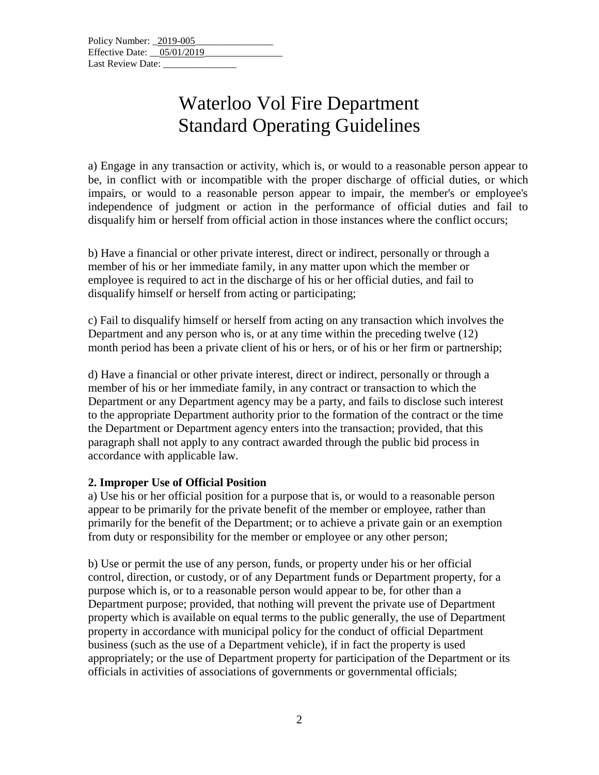a) Engage in any transaction or activity, which is, or would to a reasonable person appear to be, in conflict with or incompatible with the proper discharge of official duties, or which impairs, or would to a reasonable person appear to impair, the member's or employee's independence of judgment or action in the performance of official duties and fail to disqualify him or herself from official action in those instances where the conflict occurs;

b) Have a financial or other private interest, direct or indirect, personally or through a member of his or her immediate family, in any matter upon which the member or employee is required to act in the discharge of his or her official duties, and fail to disqualify himself or herself from acting or participating;

c) Fail to disqualify himself or herself from acting on any transaction which involves the Department and any person who is, or at any time within the preceding twelve (12) month period has been a private client of his or hers, or of his or her firm or partnership;

d) Have a financial or other private interest, direct or indirect, personally or through a member of his or her immediate family, in any contract or transaction to which the Department or any Department agency may be a party, and fails to disclose such interest to the appropriate Department authority prior to the formation of the contract or the time the Department or Department agency enters into the transaction; provided, that this paragraph shall not apply to any contract awarded through the public bid process in accordance with applicable law.

### **2. Improper Use of Official Position**

a) Use his or her official position for a purpose that is, or would to a reasonable person appear to be primarily for the private benefit of the member or employee, rather than primarily for the benefit of the Department; or to achieve a private gain or an exemption from duty or responsibility for the member or employee or any other person;

b) Use or permit the use of any person, funds, or property under his or her official control, direction, or custody, or of any Department funds or Department property, for a purpose which is, or to a reasonable person would appear to be, for other than a Department purpose; provided, that nothing will prevent the private use of Department property which is available on equal terms to the public generally, the use of Department property in accordance with municipal policy for the conduct of official Department business (such as the use of a Department vehicle), if in fact the property is used appropriately; or the use of Department property for participation of the Department or its officials in activities of associations of governments or governmental officials;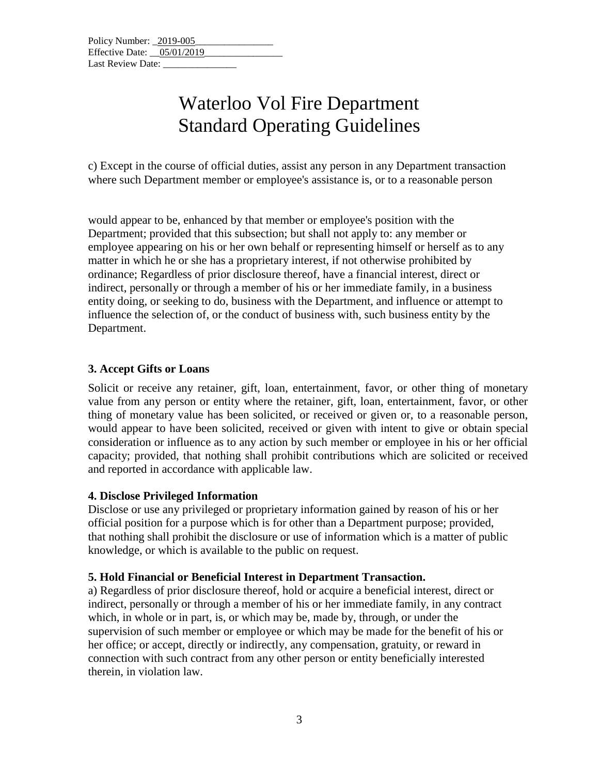c) Except in the course of official duties, assist any person in any Department transaction where such Department member or employee's assistance is, or to a reasonable person

would appear to be, enhanced by that member or employee's position with the Department; provided that this subsection; but shall not apply to: any member or employee appearing on his or her own behalf or representing himself or herself as to any matter in which he or she has a proprietary interest, if not otherwise prohibited by ordinance; Regardless of prior disclosure thereof, have a financial interest, direct or indirect, personally or through a member of his or her immediate family, in a business entity doing, or seeking to do, business with the Department, and influence or attempt to influence the selection of, or the conduct of business with, such business entity by the Department.

### **3. Accept Gifts or Loans**

Solicit or receive any retainer, gift, loan, entertainment, favor, or other thing of monetary value from any person or entity where the retainer, gift, loan, entertainment, favor, or other thing of monetary value has been solicited, or received or given or, to a reasonable person, would appear to have been solicited, received or given with intent to give or obtain special consideration or influence as to any action by such member or employee in his or her official capacity; provided, that nothing shall prohibit contributions which are solicited or received and reported in accordance with applicable law.

### **4. Disclose Privileged Information**

Disclose or use any privileged or proprietary information gained by reason of his or her official position for a purpose which is for other than a Department purpose; provided, that nothing shall prohibit the disclosure or use of information which is a matter of public knowledge, or which is available to the public on request.

#### **5. Hold Financial or Beneficial Interest in Department Transaction.**

a) Regardless of prior disclosure thereof, hold or acquire a beneficial interest, direct or indirect, personally or through a member of his or her immediate family, in any contract which, in whole or in part, is, or which may be, made by, through, or under the supervision of such member or employee or which may be made for the benefit of his or her office; or accept, directly or indirectly, any compensation, gratuity, or reward in connection with such contract from any other person or entity beneficially interested therein, in violation law.